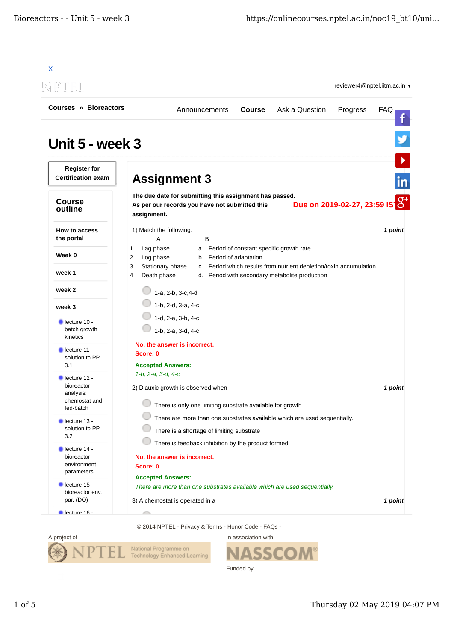

© 2014 NPTEL - Privacy & Terms - Honor Code - FAQs -



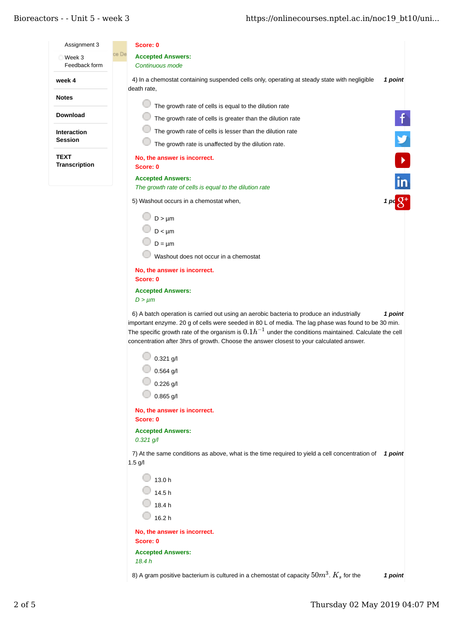## Bioreactors - - Unit 5 - week 3

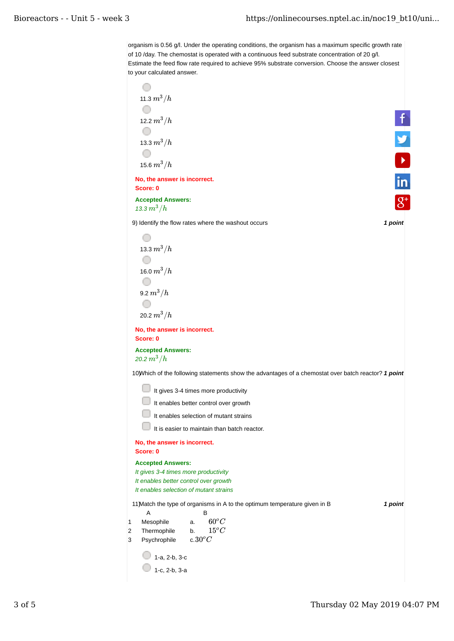organism is 0.56 g/l. Under the operating conditions, the organism has a maximum specific growth rate of 10 /day. The chemostat is operated with a continuous feed substrate concentration of 20 g/l. Estimate the feed flow rate required to achieve 95% substrate conversion. Choose the answer closest to your calculated answer.

| 11.3 $m^3/h$                                                                                         |         |
|------------------------------------------------------------------------------------------------------|---------|
| 12.2 $m^3/h$                                                                                         |         |
|                                                                                                      |         |
| 13.3 $m^3/h$                                                                                         |         |
|                                                                                                      |         |
| 15.6 $m^3/h$                                                                                         |         |
| No, the answer is incorrect.<br>Score: 0                                                             |         |
| <b>Accepted Answers:</b><br>13.3 $m^3/h$                                                             |         |
| 9) Identify the flow rates where the washout occurs                                                  | 1 point |
|                                                                                                      |         |
| 13.3 $m^3/h$                                                                                         |         |
|                                                                                                      |         |
| 16.0 $m^3/h$                                                                                         |         |
| 9.2 $m^3/h$                                                                                          |         |
|                                                                                                      |         |
| 20.2 $m^3/h$                                                                                         |         |
| No, the answer is incorrect.<br>Score: 0                                                             |         |
| <b>Accepted Answers:</b><br>20.2 $m^3/h$                                                             |         |
| 10) Which of the following statements show the advantages of a chemostat over batch reactor? 1 point |         |
| It gives 3-4 times more productivity                                                                 |         |
| It enables better control over growth                                                                |         |
| It enables selection of mutant strains                                                               |         |
| It is easier to maintain than batch reactor.                                                         |         |
| No, the answer is incorrect.                                                                         |         |
| Score: 0                                                                                             |         |
| <b>Accepted Answers:</b><br>It gives 3-4 times more productivity                                     |         |
| It enables better control over growth                                                                |         |
| It enables selection of mutant strains                                                               |         |
| 11) Match the type of organisms in A to the optimum temperature given in B<br>Α<br>В                 | 1 point |
| $60^oC$<br>Mesophile<br>1<br>a.<br>$15^oC$<br>Thermophile<br>2<br>b.                                 |         |
| c.30 $^oC$<br>Psychrophile<br>3                                                                      |         |
| 1-a, 2-b, 3-c                                                                                        |         |
| 1-c, 2-b, 3-a                                                                                        |         |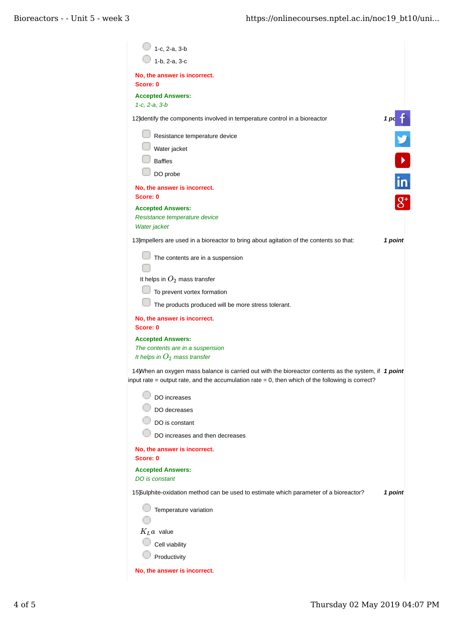| 1-c, 2-a, 3-b                                                                                                                                                                                             |                                                                   |
|-----------------------------------------------------------------------------------------------------------------------------------------------------------------------------------------------------------|-------------------------------------------------------------------|
| 1-b, 2-a, 3-c                                                                                                                                                                                             |                                                                   |
| No, the answer is incorrect.<br>Score: 0                                                                                                                                                                  |                                                                   |
| <b>Accepted Answers:</b><br>$1-c, 2-a, 3-b$                                                                                                                                                               |                                                                   |
| 12) dentify the components involved in temperature control in a bioreactor                                                                                                                                |                                                                   |
| Resistance temperature device<br>Water jacket<br><b>Baffles</b><br>DO probe                                                                                                                               | $\begin{array}{c}\n1 \text{ pc} \text{ f} \\ \hline\n\end{array}$ |
| No, the answer is incorrect.<br>Score: 0                                                                                                                                                                  | $\overline{m}$                                                    |
| <b>Accepted Answers:</b><br>Resistance temperature device<br>Water jacket                                                                                                                                 |                                                                   |
| 13) mpellers are used in a bioreactor to bring about agitation of the contents so that:                                                                                                                   | 1 point                                                           |
| The contents are in a suspension                                                                                                                                                                          |                                                                   |
| It helps in $O_2$ mass transfer                                                                                                                                                                           |                                                                   |
| To prevent vortex formation                                                                                                                                                                               |                                                                   |
| The products produced will be more stress tolerant.                                                                                                                                                       |                                                                   |
| No, the answer is incorrect.<br>Score: 0                                                                                                                                                                  |                                                                   |
| <b>Accepted Answers:</b><br>The contents are in a suspension<br>It helps in $O_2$ mass transfer                                                                                                           |                                                                   |
| 14) When an oxygen mass balance is carried out with the bioreactor contents as the system, if 1 point<br>input rate = output rate, and the accumulation rate = 0, then which of the following is correct? |                                                                   |
| DO increases<br>DO decreases                                                                                                                                                                              |                                                                   |
| DO is constant                                                                                                                                                                                            |                                                                   |
| DO increases and then decreases                                                                                                                                                                           |                                                                   |
| No, the answer is incorrect.<br>Score: 0                                                                                                                                                                  |                                                                   |
| <b>Accepted Answers:</b><br>DO is constant                                                                                                                                                                |                                                                   |
| 15Sulphite-oxidation method can be used to estimate which parameter of a bioreactor?                                                                                                                      | 1 point                                                           |
| Temperature variation                                                                                                                                                                                     |                                                                   |
| $K_L a$ value                                                                                                                                                                                             |                                                                   |
| Cell viability                                                                                                                                                                                            |                                                                   |
| Productivity                                                                                                                                                                                              |                                                                   |
| No, the answer is incorrect.                                                                                                                                                                              |                                                                   |